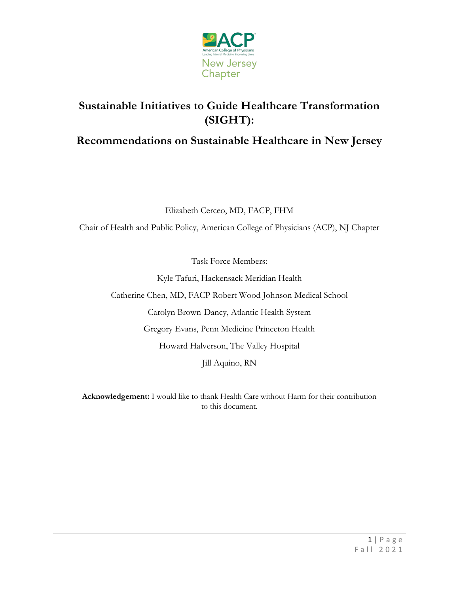

## **Sustainable Initiatives to Guide Healthcare Transformation (SIGHT):**

### **Recommendations on Sustainable Healthcare in New Jersey**

Elizabeth Cerceo, MD, FACP, FHM

Chair of Health and Public Policy, American College of Physicians (ACP), NJ Chapter

Task Force Members:

Kyle Tafuri, Hackensack Meridian Health Catherine Chen, MD, FACP Robert Wood Johnson Medical School Carolyn Brown-Dancy, Atlantic Health System Gregory Evans, Penn Medicine Princeton Health Howard Halverson, The Valley Hospital

Jill Aquino, RN

**Acknowledgement:** I would like to thank Health Care without Harm for their contribution to this document.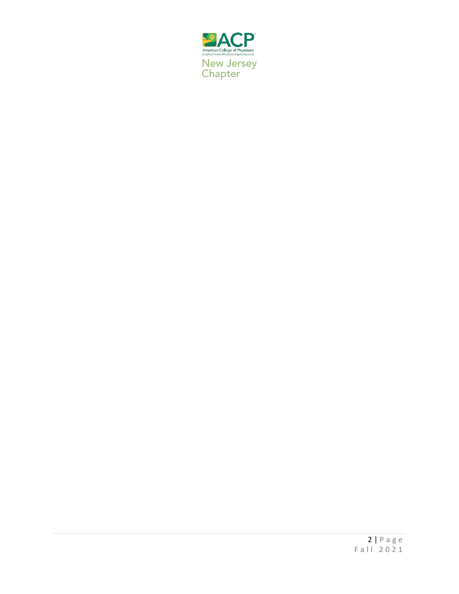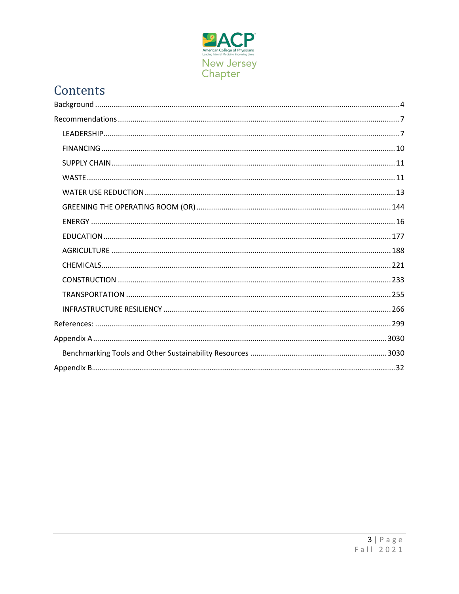

# Contents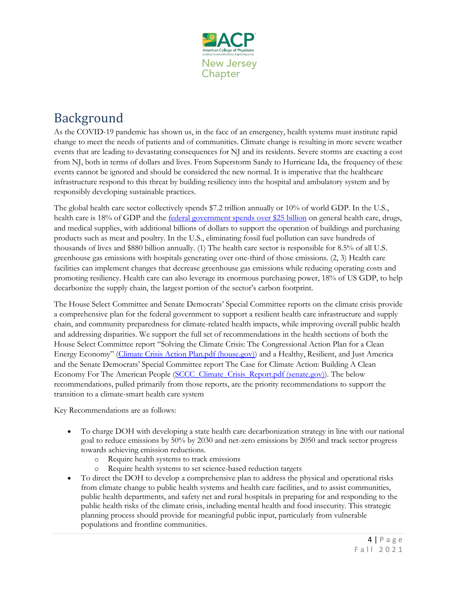

# <span id="page-3-0"></span>Background

As the COVID-19 pandemic has shown us, in the face of an emergency, health systems must institute rapid change to meet the needs of patients and of communities. Climate change is resulting in more severe weather events that are leading to devastating consequences for NJ and its residents. Severe storms are exacting a cost from NJ, both in terms of dollars and lives. From Superstorm Sandy to Hurricane Ida, the frequency of these events cannot be ignored and should be considered the new normal. It is imperative that the healthcare infrastructure respond to this threat by building resiliency into the hospital and ambulatory system and by responsibly developing sustainable practices.

The global health care sector collectively spends \$7.2 trillion annually or 10% of world GDP. In the U.S., health care is 18% of GDP and the **federal government spends over \$25 billion** on general health care, drugs, and medical supplies, with additional billions of dollars to support the operation of buildings and purchasing products such as meat and poultry. In the U.S., eliminating fossil fuel pollution can save hundreds of thousands of lives and \$880 billion annually. (1) The health care sector is responsible for 8.5% of all U.S. greenhouse gas emissions with hospitals generating over one-third of those emissions. (2, 3) Health care facilities can implement changes that decrease greenhouse gas emissions while reducing operating costs and promoting resiliency. Health care can also leverage its enormous purchasing power, 18% of US GDP, to help decarbonize the supply chain, the largest portion of the sector's carbon footprint.

The House Select Committee and Senate Democrats' Special Committee reports on the climate crisis provide a comprehensive plan for the federal government to support a resilient health care infrastructure and supply chain, and community preparedness for climate-related health impacts, while improving overall public health and addressing disparities. We support the full set of recommendations in the health sections of both the House Select Committee report "Solving the Climate Crisis: The Congressional Action Plan for a Clean Energy Economy" ([Climate Crisis Action Plan.pdf \(house.gov\)\)](https://climatecrisis.house.gov/sites/climatecrisis.house.gov/files/Climate%20Crisis%20Action%20Plan.pdf) and a Healthy, Resilient, and Just America and the Senate Democrats' Special Committee report The Case for Climate Action: Building A Clean Economy For The American People [\(SCCC\\_Climate\\_Crisis\\_Report.pdf \(senate.gov\)\)](https://www.schatz.senate.gov/imo/media/doc/SCCC_Climate_Crisis_Report.pdf). The below recommendations, pulled primarily from those reports, are the priority recommendations to support the transition to a climate-smart health care system

Key Recommendations are as follows:

- To charge DOH with developing a state health care decarbonization strategy in line with our national goal to reduce emissions by 50% by 2030 and net-zero emissions by 2050 and track sector progress towards achieving emission reductions.
	- o Require health systems to track emissions
	- o Require health systems to set science-based reduction targets
- To direct the DOH to develop a comprehensive plan to address the physical and operational risks from climate change to public health systems and health care facilities, and to assist communities, public health departments, and safety net and rural hospitals in preparing for and responding to the public health risks of the climate crisis, including mental health and food insecurity. This strategic planning process should provide for meaningful public input, particularly from vulnerable populations and frontline communities.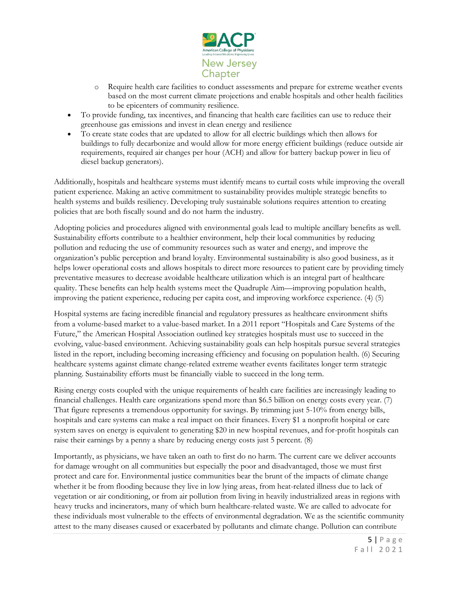

- o Require health care facilities to conduct assessments and prepare for extreme weather events based on the most current climate projections and enable hospitals and other health facilities to be epicenters of community resilience.
- To provide funding, tax incentives, and financing that health care facilities can use to reduce their greenhouse gas emissions and invest in clean energy and resilience
- To create state codes that are updated to allow for all electric buildings which then allows for buildings to fully decarbonize and would allow for more energy efficient buildings (reduce outside air requirements, required air changes per hour (ACH) and allow for battery backup power in lieu of diesel backup generators).

Additionally, hospitals and healthcare systems must identify means to curtail costs while improving the overall patient experience. Making an active commitment to sustainability provides multiple strategic benefits to health systems and builds resiliency. Developing truly sustainable solutions requires attention to creating policies that are both fiscally sound and do not harm the industry.

Adopting policies and procedures aligned with environmental goals lead to multiple ancillary benefits as well. Sustainability efforts contribute to a healthier environment, help their local communities by reducing pollution and reducing the use of community resources such as water and energy, and improve the organization's public perception and brand loyalty. Environmental sustainability is also good business, as it helps lower operational costs and allows hospitals to direct more resources to patient care by providing timely preventative measures to decrease avoidable healthcare utilization which is an integral part of healthcare quality. These benefits can help health systems meet the Quadruple Aim—improving population health, improving the patient experience, reducing per capita cost, and improving workforce experience. (4) (5)

Hospital systems are facing incredible financial and regulatory pressures as healthcare environment shifts from a volume-based market to a value-based market. In a 2011 report "Hospitals and Care Systems of the Future," the American Hospital Association outlined key strategies hospitals must use to succeed in the evolving, value-based environment. Achieving sustainability goals can help hospitals pursue several strategies listed in the report, including becoming increasing efficiency and focusing on population health. (6) Securing healthcare systems against climate change-related extreme weather events facilitates longer term strategic planning. Sustainability efforts must be financially viable to succeed in the long term.

Rising energy costs coupled with the unique requirements of health care facilities are increasingly leading to financial challenges. Health care organizations spend more than \$6.5 billion on energy costs every year. (7) That figure represents a tremendous opportunity for savings. By trimming just 5-10% from energy bills, hospitals and care systems can make a real impact on their finances. Every \$1 a nonprofit hospital or care system saves on energy is equivalent to generating \$20 in new hospital revenues, and for-profit hospitals can raise their earnings by a penny a share by reducing energy costs just 5 percent. (8)

Importantly, as physicians, we have taken an oath to first do no harm. The current care we deliver accounts for damage wrought on all communities but especially the poor and disadvantaged, those we must first protect and care for. Environmental justice communities bear the brunt of the impacts of climate change whether it be from flooding because they live in low lying areas, from heat-related illness due to lack of vegetation or air conditioning, or from air pollution from living in heavily industrialized areas in regions with heavy trucks and incinerators, many of which burn healthcare-related waste. We are called to advocate for these individuals most vulnerable to the effects of environmental degradation. We as the scientific community attest to the many diseases caused or exacerbated by pollutants and climate change. Pollution can contribute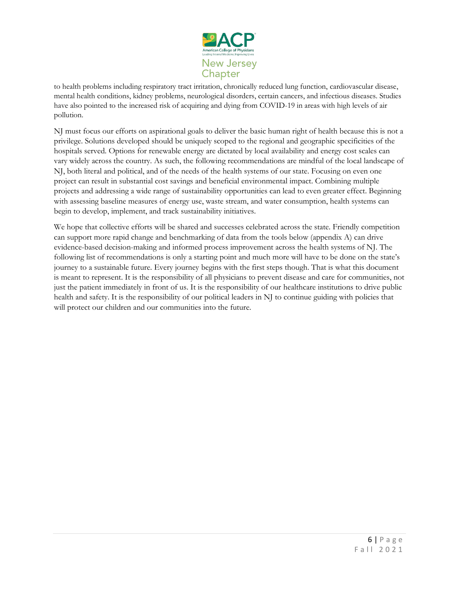

to health problems including respiratory tract irritation, chronically reduced lung function, cardiovascular disease, mental health conditions, kidney problems, neurological disorders, certain cancers, and infectious diseases. Studies have also pointed to the increased risk of acquiring and dying from COVID-19 in areas with high levels of air pollution.

NJ must focus our efforts on aspirational goals to deliver the basic human right of health because this is not a privilege. Solutions developed should be uniquely scoped to the regional and geographic specificities of the hospitals served. Options for renewable energy are dictated by local availability and energy cost scales can vary widely across the country. As such, the following recommendations are mindful of the local landscape of NJ, both literal and political, and of the needs of the health systems of our state. Focusing on even one project can result in substantial cost savings and beneficial environmental impact. Combining multiple projects and addressing a wide range of sustainability opportunities can lead to even greater effect. Beginning with assessing baseline measures of energy use, waste stream, and water consumption, health systems can begin to develop, implement, and track sustainability initiatives.

<span id="page-5-0"></span>We hope that collective efforts will be shared and successes celebrated across the state. Friendly competition can support more rapid change and benchmarking of data from the tools below (appendix A) can drive evidence-based decision-making and informed process improvement across the health systems of NJ. The following list of recommendations is only a starting point and much more will have to be done on the state's journey to a sustainable future. Every journey begins with the first steps though. That is what this document is meant to represent. It is the responsibility of all physicians to prevent disease and care for communities, not just the patient immediately in front of us. It is the responsibility of our healthcare institutions to drive public health and safety. It is the responsibility of our political leaders in NJ to continue guiding with policies that will protect our children and our communities into the future.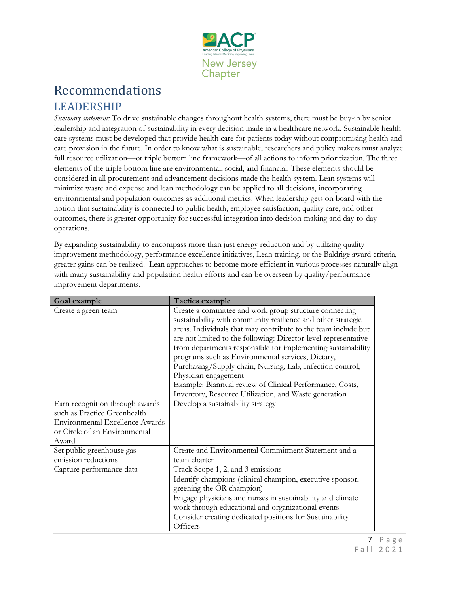

## Recommendations LEADERSHIP

<span id="page-6-0"></span>*Summary statement:* To drive sustainable changes throughout health systems, there must be buy-in by senior leadership and integration of sustainability in every decision made in a healthcare network. Sustainable healthcare systems must be developed that provide health care for patients today without compromising health and care provision in the future. In order to know what is sustainable, researchers and policy makers must analyze full resource utilization—or triple bottom line framework—of all actions to inform prioritization. The three elements of the triple bottom line are environmental, social, and financial. These elements should be considered in all procurement and advancement decisions made the health system. Lean systems will minimize waste and expense and lean methodology can be applied to all decisions, incorporating environmental and population outcomes as additional metrics. When leadership gets on board with the notion that sustainability is connected to public health, employee satisfaction, quality care, and other outcomes, there is greater opportunity for successful integration into decision-making and day-to-day operations.

By expanding sustainability to encompass more than just energy reduction and by utilizing quality improvement methodology, performance excellence initiatives, Lean training, or the Baldrige award criteria, greater gains can be realized. Lean approaches to become more efficient in various processes naturally align with many sustainability and population health efforts and can be overseen by quality/performance improvement departments.

| Goal example                                                                                                     | <b>Tactics example</b>                                                                                                                                                                                                                                                                                                                                                                                                                                                                                                            |
|------------------------------------------------------------------------------------------------------------------|-----------------------------------------------------------------------------------------------------------------------------------------------------------------------------------------------------------------------------------------------------------------------------------------------------------------------------------------------------------------------------------------------------------------------------------------------------------------------------------------------------------------------------------|
| Create a green team                                                                                              | Create a committee and work group structure connecting<br>sustainability with community resilience and other strategic<br>areas. Individuals that may contribute to the team include but<br>are not limited to the following: Director-level representative<br>from departments responsible for implementing sustainability<br>programs such as Environmental services, Dietary,<br>Purchasing/Supply chain, Nursing, Lab, Infection control,<br>Physician engagement<br>Example: Biannual review of Clinical Performance, Costs, |
| Earn recognition through awards                                                                                  | Inventory, Resource Utilization, and Waste generation                                                                                                                                                                                                                                                                                                                                                                                                                                                                             |
| such as Practice Greenhealth<br><b>Environmental Excellence Awards</b><br>or Circle of an Environmental<br>Award | Develop a sustainability strategy                                                                                                                                                                                                                                                                                                                                                                                                                                                                                                 |
| Set public greenhouse gas<br>emission reductions                                                                 | Create and Environmental Commitment Statement and a<br>team charter                                                                                                                                                                                                                                                                                                                                                                                                                                                               |
| Capture performance data                                                                                         | Track Scope 1, 2, and 3 emissions                                                                                                                                                                                                                                                                                                                                                                                                                                                                                                 |
|                                                                                                                  | Identify champions (clinical champion, executive sponsor,<br>greening the OR champion)                                                                                                                                                                                                                                                                                                                                                                                                                                            |
|                                                                                                                  | Engage physicians and nurses in sustainability and climate<br>work through educational and organizational events                                                                                                                                                                                                                                                                                                                                                                                                                  |
|                                                                                                                  | Consider creating dedicated positions for Sustainability<br>Officers                                                                                                                                                                                                                                                                                                                                                                                                                                                              |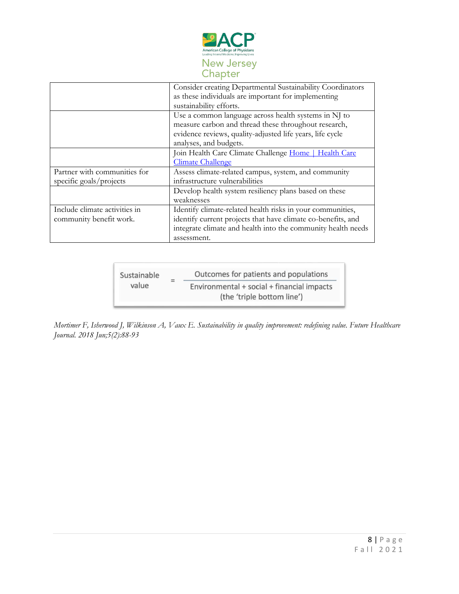

|                               | Consider creating Departmental Sustainability Coordinators   |
|-------------------------------|--------------------------------------------------------------|
|                               | as these individuals are important for implementing          |
|                               | sustainability efforts.                                      |
|                               | Use a common language across health systems in NJ to         |
|                               | measure carbon and thread these throughout research,         |
|                               | evidence reviews, quality-adjusted life years, life cycle    |
|                               | analyses, and budgets.                                       |
|                               | Join Health Care Climate Challenge Home   Health Care        |
|                               | Climate Challenge                                            |
| Partner with communities for  | Assess climate-related campus, system, and community         |
| specific goals/projects       | infrastructure vulnerabilities                               |
|                               | Develop health system resiliency plans based on these        |
|                               | weaknesses                                                   |
| Include climate activities in | Identify climate-related health risks in your communities,   |
| community benefit work.       | identify current projects that have climate co-benefits, and |
|                               | integrate climate and health into the community health needs |
|                               | assessment.                                                  |

| Sustainable | Outcomes for patients and populations |                                            |
|-------------|---------------------------------------|--------------------------------------------|
| value       |                                       | Environmental + social + financial impacts |
|             |                                       | (the 'triple bottom line')                 |

*Mortimer F, Isherwood J, Wilkinson A, Vaux E. Sustainability in quality improvement: redefining value. Future Healthcare Journal. 2018 Jun;5(2):88-93*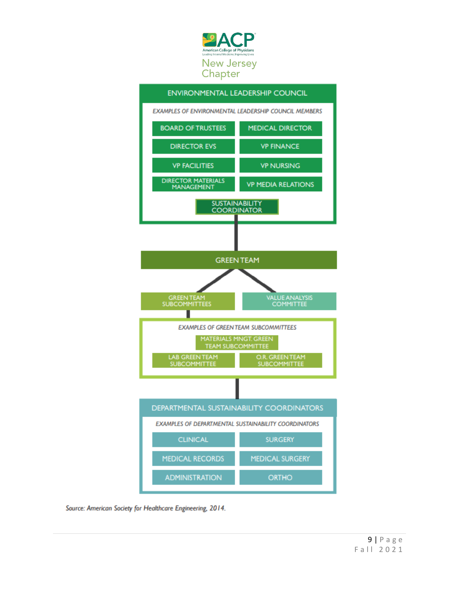



Source: American Society for Healthcare Engineering, 2014.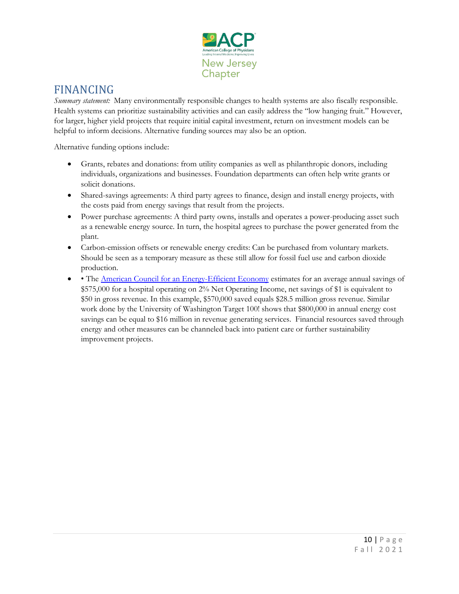

#### <span id="page-9-0"></span>FINANCING

*Summary statement:* Many environmentally responsible changes to health systems are also fiscally responsible. Health systems can prioritize sustainability activities and can easily address the "low hanging fruit." However, for larger, higher yield projects that require initial capital investment, return on investment models can be helpful to inform decisions. Alternative funding sources may also be an option.

Alternative funding options include:

- Grants, rebates and donations: from utility companies as well as philanthropic donors, including individuals, organizations and businesses. Foundation departments can often help write grants or solicit donations.
- Shared-savings agreements: A third party agrees to finance, design and install energy projects, with the costs paid from energy savings that result from the projects.
- Power purchase agreements: A third party owns, installs and operates a power-producing asset such as a renewable energy source. In turn, the hospital agrees to purchase the power generated from the plant.
- Carbon-emission offsets or renewable energy credits: Can be purchased from voluntary markets. Should be seen as a temporary measure as these still allow for fossil fuel use and carbon dioxide production.
- <span id="page-9-1"></span> • The [American Council for an Energy-Efficient Economy](https://www.aceee.org/files/proceedings/2014/data/papers/4-423.pdf) estimates for an average annual savings of \$575,000 for a hospital operating on 2% Net Operating Income, net savings of \$1 is equivalent to \$50 in gross revenue. In this example, \$570,000 saved equals \$28.5 million gross revenue. Similar work done by the University of Washington Target 100! shows that \$800,000 in annual energy cost savings can be equal to \$16 million in revenue generating services. Financial resources saved through energy and other measures can be channeled back into patient care or further sustainability improvement projects.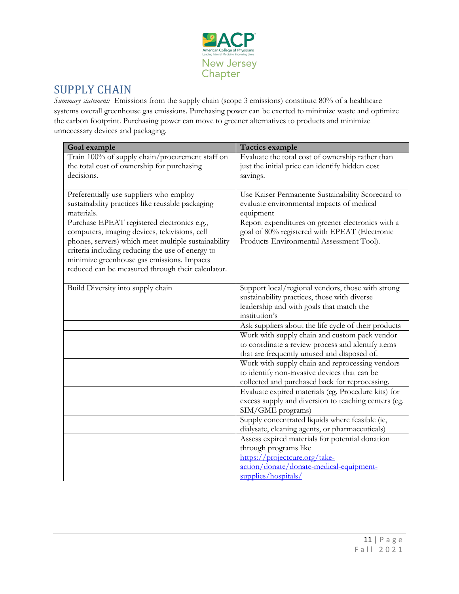

### SUPPLY CHAIN

*Summary statement:* Emissions from the supply chain (scope 3 emissions) constitute 80% of a healthcare systems overall greenhouse gas emissions. Purchasing power can be exerted to minimize waste and optimize the carbon footprint. Purchasing power can move to greener alternatives to products and minimize unnecessary devices and packaging.

<span id="page-10-0"></span>

| Goal example                                        | <b>Tactics example</b>                                                                             |
|-----------------------------------------------------|----------------------------------------------------------------------------------------------------|
| Train 100% of supply chain/procurement staff on     | Evaluate the total cost of ownership rather than                                                   |
| the total cost of ownership for purchasing          | just the initial price can identify hidden cost                                                    |
| decisions.                                          | savings.                                                                                           |
| Preferentially use suppliers who employ             | Use Kaiser Permanente Sustainability Scorecard to                                                  |
| sustainability practices like reusable packaging    | evaluate environmental impacts of medical                                                          |
| materials.                                          | equipment                                                                                          |
| Purchase EPEAT registered electronics e.g.,         | Report expenditures on greener electronics with a                                                  |
| computers, imaging devices, televisions, cell       | goal of 80% registered with EPEAT (Electronic                                                      |
| phones, servers) which meet multiple sustainability | Products Environmental Assessment Tool).                                                           |
| criteria including reducing the use of energy to    |                                                                                                    |
| minimize greenhouse gas emissions. Impacts          |                                                                                                    |
| reduced can be measured through their calculator.   |                                                                                                    |
|                                                     | Support local/regional vendors, those with strong                                                  |
| Build Diversity into supply chain                   | sustainability practices, those with diverse                                                       |
|                                                     | leadership and with goals that match the                                                           |
|                                                     | institution's                                                                                      |
|                                                     | Ask suppliers about the life cycle of their products                                               |
|                                                     | Work with supply chain and custom pack vendor                                                      |
|                                                     | to coordinate a review process and identify items                                                  |
|                                                     | that are frequently unused and disposed of.                                                        |
|                                                     | Work with supply chain and reprocessing vendors                                                    |
|                                                     | to identify non-invasive devices that can be                                                       |
|                                                     | collected and purchased back for reprocessing.                                                     |
|                                                     | Evaluate expired materials (eg. Procedure kits) for                                                |
|                                                     | excess supply and diversion to teaching centers (eg.                                               |
|                                                     | SIM/GME programs)                                                                                  |
|                                                     | Supply concentrated liquids where feasible (ie,                                                    |
|                                                     | dialysate, cleaning agents, or pharmaceuticals)<br>Assess expired materials for potential donation |
|                                                     | through programs like                                                                              |
|                                                     | https://projectcure.org/take-                                                                      |
|                                                     | action/donate/donate-medical-equipment-                                                            |
|                                                     | supplies/hospitals/                                                                                |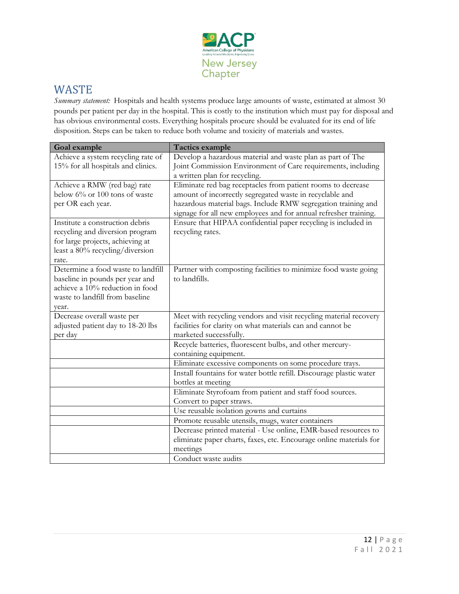

### **WASTE**

*Summary statement:* Hospitals and health systems produce large amounts of waste, estimated at almost 30 pounds per patient per day in the hospital. This is costly to the institution which must pay for disposal and has obvious environmental costs. Everything hospitals procure should be evaluated for its end of life disposition. Steps can be taken to reduce both volume and toxicity of materials and wastes.

<span id="page-11-0"></span>

| Goal example                                 | <b>Tactics example</b>                                                               |
|----------------------------------------------|--------------------------------------------------------------------------------------|
| Achieve a system recycling rate of           | Develop a hazardous material and waste plan as part of The                           |
| 15% for all hospitals and clinics.           | Joint Commission Environment of Care requirements, including                         |
|                                              | a written plan for recycling.                                                        |
| Achieve a RMW (red bag) rate                 | Eliminate red bag receptacles from patient rooms to decrease                         |
| below 6% or 100 tons of waste                | amount of incorrectly segregated waste in recyclable and                             |
| per OR each year.                            | hazardous material bags. Include RMW segregation training and                        |
|                                              | signage for all new employees and for annual refresher training.                     |
| Institute a construction debris              | Ensure that HIPAA confidential paper recycling is included in                        |
| recycling and diversion program              | recycling rates.                                                                     |
| for large projects, achieving at             |                                                                                      |
| least a 80% recycling/diversion              |                                                                                      |
| rate.                                        |                                                                                      |
| Determine a food waste to landfill           | Partner with composting facilities to minimize food waste going                      |
| baseline in pounds per year and              | to landfills.                                                                        |
| achieve a 10% reduction in food              |                                                                                      |
| waste to landfill from baseline              |                                                                                      |
| year.                                        |                                                                                      |
| Decrease overall waste per                   | Meet with recycling vendors and visit recycling material recovery                    |
| adjusted patient day to 18-20 lbs<br>per day | facilities for clarity on what materials can and cannot be<br>marketed successfully. |
|                                              | Recycle batteries, fluorescent bulbs, and other mercury-                             |
|                                              | containing equipment.                                                                |
|                                              | Eliminate excessive components on some procedure trays.                              |
|                                              | Install fountains for water bottle refill. Discourage plastic water                  |
|                                              | bottles at meeting                                                                   |
|                                              | Eliminate Styrofoam from patient and staff food sources.                             |
|                                              | Convert to paper straws.                                                             |
|                                              | Use reusable isolation gowns and curtains                                            |
|                                              | Promote reusable utensils, mugs, water containers                                    |
|                                              | Decrease printed material - Use online, EMR-based resources to                       |
|                                              | eliminate paper charts, faxes, etc. Encourage online materials for                   |
|                                              | meetings                                                                             |
|                                              | Conduct waste audits                                                                 |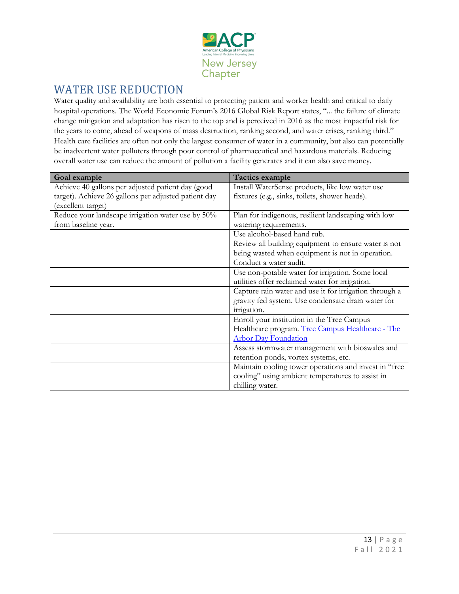

#### WATER USE REDUCTION

Water quality and availability are both essential to protecting patient and worker health and critical to daily hospital operations. The World Economic Forum's 2016 Global Risk Report states, "... the failure of climate change mitigation and adaptation has risen to the top and is perceived in 2016 as the most impactful risk for the years to come, ahead of weapons of mass destruction, ranking second, and water crises, ranking third." Health care facilities are often not only the largest consumer of water in a community, but also can potentially be inadvertent water polluters through poor control of pharmaceutical and hazardous materials. Reducing overall water use can reduce the amount of pollution a facility generates and it can also save money.

| Goal example                                         | Tactics example                                        |
|------------------------------------------------------|--------------------------------------------------------|
| Achieve 40 gallons per adjusted patient day (good    | Install WaterSense products, like low water use        |
| target). Achieve 26 gallons per adjusted patient day | fixtures (e.g., sinks, toilets, shower heads).         |
| (excellent target)                                   |                                                        |
| Reduce your landscape irrigation water use by 50%    | Plan for indigenous, resilient landscaping with low    |
| from baseline year.                                  | watering requirements.                                 |
|                                                      | Use alcohol-based hand rub.                            |
|                                                      | Review all building equipment to ensure water is not   |
|                                                      | being wasted when equipment is not in operation.       |
|                                                      | Conduct a water audit.                                 |
|                                                      | Use non-potable water for irrigation. Some local       |
|                                                      | utilities offer reclaimed water for irrigation.        |
|                                                      | Capture rain water and use it for irrigation through a |
|                                                      | gravity fed system. Use condensate drain water for     |
|                                                      | irrigation.                                            |
|                                                      | Enroll your institution in the Tree Campus             |
|                                                      | Healthcare program. Tree Campus Healthcare - The       |
|                                                      | <b>Arbor Day Foundation</b>                            |
|                                                      | Assess stormwater management with bioswales and        |
|                                                      | retention ponds, vortex systems, etc.                  |
|                                                      | Maintain cooling tower operations and invest in "free  |
|                                                      | cooling" using ambient temperatures to assist in       |
|                                                      | chilling water.                                        |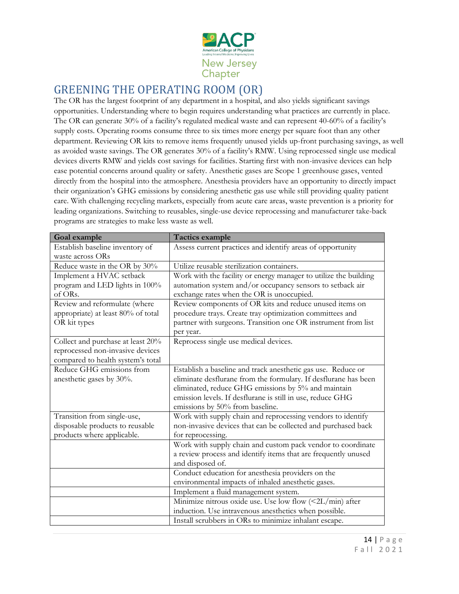

### <span id="page-13-0"></span>GREENING THE OPERATING ROOM (OR)

The OR has the largest footprint of any department in a hospital, and also yields significant savings opportunities. Understanding where to begin requires understanding what practices are currently in place. The OR can generate 30% of a facility's regulated medical waste and can represent 40-60% of a facility's supply costs. Operating rooms consume three to six times more energy per square foot than any other department. Reviewing OR kits to remove items frequently unused yields up-front purchasing savings, as well as avoided waste savings. The OR generates 30% of a facility's RMW. Using reprocessed single use medical devices diverts RMW and yields cost savings for facilities. Starting first with non-invasive devices can help ease potential concerns around quality or safety. Anesthetic gases are Scope 1 greenhouse gases, vented directly from the hospital into the atmosphere. Anesthesia providers have an opportunity to directly impact their organization's GHG emissions by considering anesthetic gas use while still providing quality patient care. With challenging recycling markets, especially from acute care areas, waste prevention is a priority for leading organizations. Switching to reusables, single-use device reprocessing and manufacturer take-back programs are strategies to make less waste as well.

| Goal example                       | Tactics example                                                  |
|------------------------------------|------------------------------------------------------------------|
| Establish baseline inventory of    | Assess current practices and identify areas of opportunity       |
| waste across ORs                   |                                                                  |
| Reduce waste in the OR by 30%      | Utilize reusable sterilization containers.                       |
| Implement a HVAC setback           | Work with the facility or energy manager to utilize the building |
| program and LED lights in 100%     | automation system and/or occupancy sensors to setback air        |
| of ORs.                            | exchange rates when the OR is unoccupied.                        |
| Review and reformulate (where      | Review components of OR kits and reduce unused items on          |
| appropriate) at least 80% of total | procedure trays. Create tray optimization committees and         |
| OR kit types                       | partner with surgeons. Transition one OR instrument from list    |
|                                    | per year.                                                        |
| Collect and purchase at least 20%  | Reprocess single use medical devices.                            |
| reprocessed non-invasive devices   |                                                                  |
| compared to health system's total  |                                                                  |
| Reduce GHG emissions from          | Establish a baseline and track anesthetic gas use. Reduce or     |
| anesthetic gases by 30%.           | eliminate desflurane from the formulary. If desflurane has been  |
|                                    | eliminated, reduce GHG emissions by 5% and maintain              |
|                                    | emission levels. If desflurane is still in use, reduce GHG       |
|                                    | emissions by 50% from baseline.                                  |
| Transition from single-use,        | Work with supply chain and reprocessing vendors to identify      |
| disposable products to reusable    | non-invasive devices that can be collected and purchased back    |
| products where applicable.         | for reprocessing.                                                |
|                                    | Work with supply chain and custom pack vendor to coordinate      |
|                                    | a review process and identify items that are frequently unused   |
|                                    | and disposed of.                                                 |
|                                    | Conduct education for anesthesia providers on the                |
|                                    | environmental impacts of inhaled anesthetic gases.               |
|                                    | Implement a fluid management system.                             |
|                                    | Minimize nitrous oxide use. Use low flow (<2L/min) after         |
|                                    | induction. Use intravenous anesthetics when possible.            |
|                                    | Install scrubbers in ORs to minimize inhalant escape.            |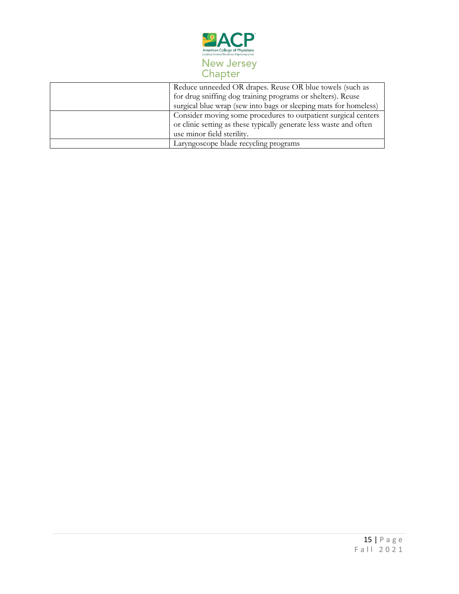

| Reduce unneeded OR drapes. Reuse OR blue towels (such as           |
|--------------------------------------------------------------------|
| for drug sniffing dog training programs or shelters). Reuse        |
| surgical blue wrap (sew into bags or sleeping mats for homeless)   |
| Consider moving some procedures to outpatient surgical centers     |
| or clinic setting as these typically generate less waste and often |
| use minor field sterility.                                         |
| Laryngoscope blade recycling programs                              |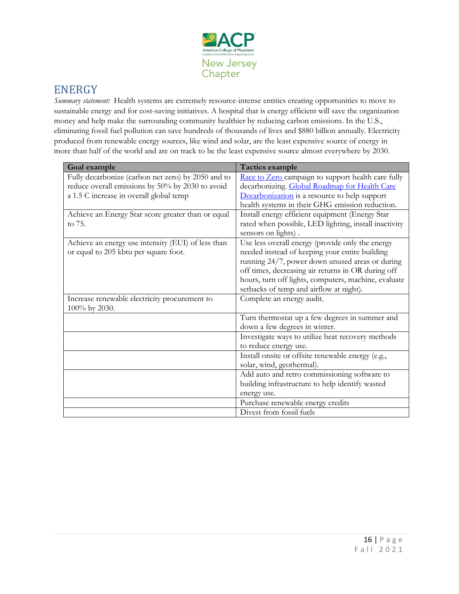

### <span id="page-15-0"></span>ENERGY

*Summary statement:* Health systems are extremely resource-intense entities creating opportunities to move to sustainable energy and for cost-saving initiatives. A hospital that is energy efficient will save the organization money and help make the surrounding community healthier by reducing carbon emissions. In the U.S., eliminating fossil fuel pollution can save hundreds of thousands of lives and \$880 billion annually. Electricity produced from renewable energy sources, like wind and solar, are the least expensive source of energy in more than half of the world and are on track to be the least expensive source almost everywhere by 2030.

<span id="page-15-1"></span>

| Goal example                                       | <b>Tactics example</b>                                |
|----------------------------------------------------|-------------------------------------------------------|
| Fully decarbonize (carbon net zero) by 2050 and to | Race to Zero campaign to support health care fully    |
| reduce overall emissions by 50% by 2030 to avoid   | decarbonizing. Global Roadmap for Health Care         |
| a 1.5 C increase in overall global temp            | Decarbonization is a resource to help support         |
|                                                    | health systems in their GHG emission reduction.       |
| Achieve an Energy Star score greater than or equal | Install energy efficient equipment (Energy Star       |
| to 75.                                             | rated when possible, LED lighting, install inactivity |
|                                                    | sensors on lights).                                   |
| Achieve an energy use intensity (EUI) of less than | Use less overall energy (provide only the energy      |
| or equal to 205 kbtu per square foot.              | needed instead of keeping your entire building        |
|                                                    | running 24/7, power down unused areas or during       |
|                                                    | off times, decreasing air returns in OR during off    |
|                                                    | hours, turn off lights, computers, machine, evaluate  |
|                                                    | setbacks of temp and airflow at night).               |
| Increase renewable electricity procurement to      | Complete an energy audit.                             |
| 100% by 2030.                                      |                                                       |
|                                                    | Turn thermostat up a few degrees in summer and        |
|                                                    | down a few degrees in winter.                         |
|                                                    | Investigate ways to utilize heat recovery methods     |
|                                                    | to reduce energy use.                                 |
|                                                    | Install onsite or offsite renewable energy (e.g.,     |
|                                                    | solar, wind, geothermal).                             |
|                                                    | Add auto and retro commissioning software to          |
|                                                    | building infrastructure to help identify wasted       |
|                                                    | energy use.                                           |
|                                                    | Purchase renewable energy credits                     |
|                                                    | Divest from fossil fuels                              |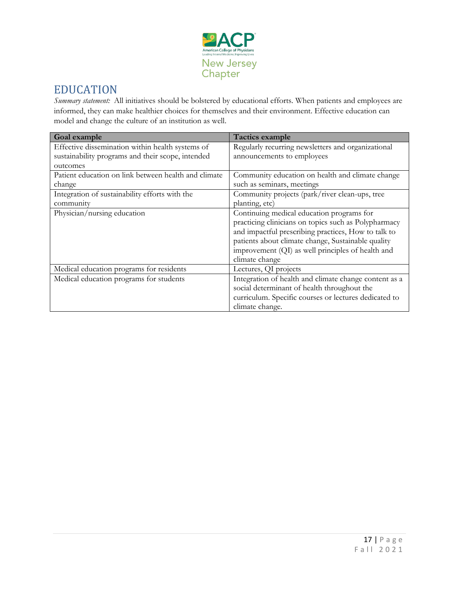

### EDUCATION

*Summary statement:* All initiatives should be bolstered by educational efforts. When patients and employees are informed, they can make healthier choices for themselves and their environment. Effective education can model and change the culture of an institution as well.

<span id="page-16-0"></span>

| Goal example                                         | <b>Tactics example</b>                                |
|------------------------------------------------------|-------------------------------------------------------|
| Effective dissemination within health systems of     | Regularly recurring newsletters and organizational    |
| sustainability programs and their scope, intended    | announcements to employees                            |
| outcomes                                             |                                                       |
| Patient education on link between health and climate | Community education on health and climate change      |
| change                                               | such as seminars, meetings                            |
| Integration of sustainability efforts with the       | Community projects (park/river clean-ups, tree        |
| community                                            | planting, etc)                                        |
| Physician/nursing education                          | Continuing medical education programs for             |
|                                                      | practicing clinicians on topics such as Polypharmacy  |
|                                                      | and impactful prescribing practices, How to talk to   |
|                                                      | patients about climate change, Sustainable quality    |
|                                                      | improvement (QI) as well principles of health and     |
|                                                      | climate change                                        |
| Medical education programs for residents             | Lectures, QI projects                                 |
| Medical education programs for students              | Integration of health and climate change content as a |
|                                                      | social determinant of health throughout the           |
|                                                      | curriculum. Specific courses or lectures dedicated to |
|                                                      | climate change.                                       |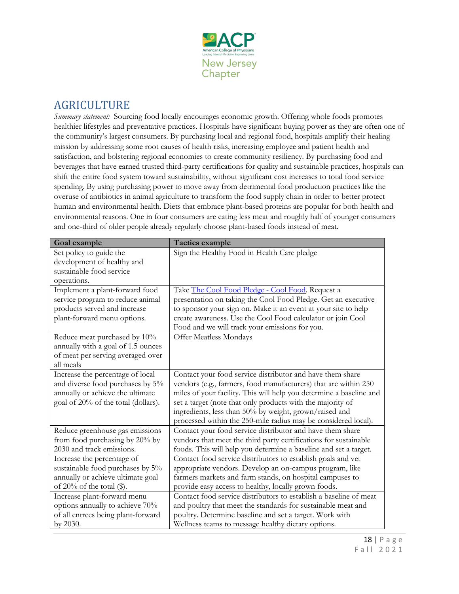

### AGRICULTURE

*Summary statement:* Sourcing food locally encourages economic growth. Offering whole foods promotes healthier lifestyles and preventative practices. Hospitals have significant buying power as they are often one of the community's largest consumers. By purchasing local and regional food, hospitals amplify their healing mission by addressing some root causes of health risks, increasing employee and patient health and satisfaction, and bolstering regional economies to create community resiliency. By purchasing food and beverages that have earned trusted third-party certifications for quality and sustainable practices, hospitals can shift the entire food system toward sustainability, without significant cost increases to total food service spending. By using purchasing power to move away from detrimental food production practices like the overuse of antibiotics in animal agriculture to transform the food supply chain in order to better protect human and environmental health. Diets that embrace plant-based proteins are popular for both health and environmental reasons. One in four consumers are eating less meat and roughly half of younger consumers and one-third of older people already regularly choose plant-based foods instead of meat.

| Goal example                                                       | <b>Tactics example</b>                                                                                                               |
|--------------------------------------------------------------------|--------------------------------------------------------------------------------------------------------------------------------------|
| Set policy to guide the                                            | Sign the Healthy Food in Health Care pledge                                                                                          |
| development of healthy and                                         |                                                                                                                                      |
| sustainable food service                                           |                                                                                                                                      |
| operations.                                                        | Take The Cool Food Pledge - Cool Food. Request a                                                                                     |
| Implement a plant-forward food<br>service program to reduce animal | presentation on taking the Cool Food Pledge. Get an executive                                                                        |
| products served and increase                                       | to sponsor your sign on. Make it an event at your site to help                                                                       |
| plant-forward menu options.                                        | create awareness. Use the Cool Food calculator or join Cool                                                                          |
|                                                                    | Food and we will track your emissions for you.                                                                                       |
| Reduce meat purchased by 10%                                       | Offer Meatless Mondays                                                                                                               |
| annually with a goal of 1.5 ounces                                 |                                                                                                                                      |
| of meat per serving averaged over                                  |                                                                                                                                      |
| all meals                                                          |                                                                                                                                      |
| Increase the percentage of local                                   | Contact your food service distributor and have them share                                                                            |
| and diverse food purchases by 5%                                   | vendors (e.g., farmers, food manufacturers) that are within 250                                                                      |
| annually or achieve the ultimate                                   | miles of your facility. This will help you determine a baseline and                                                                  |
| goal of 20% of the total (dollars).                                | set a target (note that only products with the majority of                                                                           |
|                                                                    | ingredients, less than 50% by weight, grown/raised and                                                                               |
|                                                                    | processed within the 250-mile radius may be considered local).                                                                       |
| Reduce greenhouse gas emissions                                    | Contact your food service distributor and have them share                                                                            |
| from food purchasing by 20% by<br>2030 and track emissions.        | vendors that meet the third party certifications for sustainable<br>foods. This will help you determine a baseline and set a target. |
| Increase the percentage of                                         | Contact food service distributors to establish goals and vet                                                                         |
| sustainable food purchases by 5%                                   | appropriate vendors. Develop an on-campus program, like                                                                              |
| annually or achieve ultimate goal                                  | farmers markets and farm stands, on hospital campuses to                                                                             |
| of 20% of the total $(\$)$ .                                       | provide easy access to healthy, locally grown foods.                                                                                 |
| Increase plant-forward menu                                        | Contact food service distributors to establish a baseline of meat                                                                    |
| options annually to achieve 70%                                    | and poultry that meet the standards for sustainable meat and                                                                         |
| of all entrees being plant-forward                                 | poultry. Determine baseline and set a target. Work with                                                                              |
| by 2030.                                                           | Wellness teams to message healthy dietary options.                                                                                   |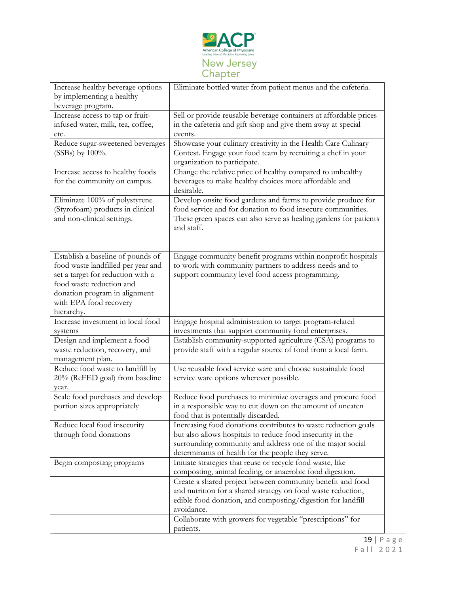

| Increase healthy beverage options  | Eliminate bottled water from patient menus and the cafeteria.                                    |
|------------------------------------|--------------------------------------------------------------------------------------------------|
| by implementing a healthy          |                                                                                                  |
| beverage program.                  |                                                                                                  |
| Increase access to tap or fruit-   | Sell or provide reusable beverage containers at affordable prices                                |
| infused water, milk, tea, coffee,  | in the cafeteria and gift shop and give them away at special                                     |
| etc.                               | events.                                                                                          |
| Reduce sugar-sweetened beverages   | Showcase your culinary creativity in the Health Care Culinary                                    |
| (SSBs) by 100%.                    | Contest. Engage your food team by recruiting a chef in your                                      |
|                                    | organization to participate.                                                                     |
| Increase access to healthy foods   | Change the relative price of healthy compared to unhealthy                                       |
| for the community on campus.       | beverages to make healthy choices more affordable and                                            |
|                                    | desirable.                                                                                       |
| Eliminate 100% of polystyrene      | Develop onsite food gardens and farms to provide produce for                                     |
| (Styrofoam) products in clinical   | food service and for donation to food insecure communities.                                      |
| and non-clinical settings.         | These green spaces can also serve as healing gardens for patients                                |
|                                    | and staff.                                                                                       |
|                                    |                                                                                                  |
|                                    |                                                                                                  |
| Establish a baseline of pounds of  | Engage community benefit programs within nonprofit hospitals                                     |
| food waste landfilled per year and | to work with community partners to address needs and to                                          |
| set a target for reduction with a  | support community level food access programming.                                                 |
| food waste reduction and           |                                                                                                  |
| donation program in alignment      |                                                                                                  |
| with EPA food recovery             |                                                                                                  |
| hierarchy.                         |                                                                                                  |
| Increase investment in local food  | Engage hospital administration to target program-related                                         |
| systems                            | investments that support community food enterprises.                                             |
| Design and implement a food        | Establish community-supported agriculture (CSA) programs to                                      |
| waste reduction, recovery, and     | provide staff with a regular source of food from a local farm.                                   |
| management plan.                   |                                                                                                  |
| Reduce food waste to landfill by   | Use reusable food service ware and choose sustainable food                                       |
| 20% (ReFED goal) from baseline     | service ware options wherever possible.                                                          |
| year.                              |                                                                                                  |
| Scale food purchases and develop   | Reduce food purchases to minimize overages and procure food                                      |
| portion sizes appropriately        | in a responsible way to cut down on the amount of uneaten<br>food that is potentially discarded. |
| Reduce local food insecurity       | Increasing food donations contributes to waste reduction goals                                   |
| through food donations             | but also allows hospitals to reduce food insecurity in the                                       |
|                                    | surrounding community and address one of the major social                                        |
|                                    | determinants of health for the people they serve.                                                |
| Begin composting programs          | Initiate strategies that reuse or recycle food waste, like                                       |
|                                    | composting, animal feeding, or anaerobic food digestion.                                         |
|                                    | Create a shared project between community benefit and food                                       |
|                                    | and nutrition for a shared strategy on food waste reduction,                                     |
|                                    | edible food donation, and composting/digestion for landfill                                      |
|                                    | avoidance.                                                                                       |
|                                    | Collaborate with growers for vegetable "prescriptions" for                                       |
|                                    | patients.                                                                                        |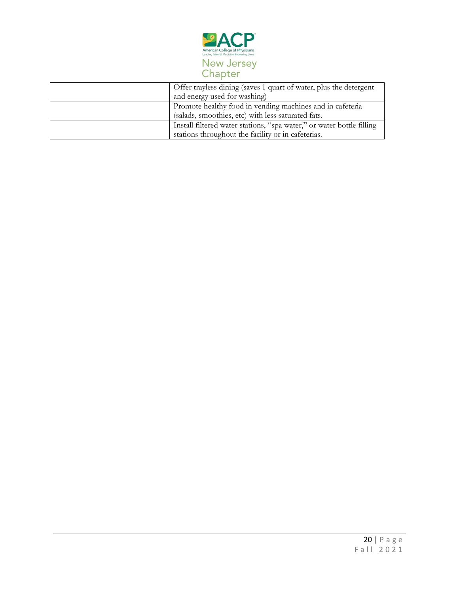

<span id="page-19-0"></span>

| Offer trayless dining (saves 1 quart of water, plus the detergent<br>and energy used for washing.                           |
|-----------------------------------------------------------------------------------------------------------------------------|
| Promote healthy food in vending machines and in cafeteria<br>(salads, smoothies, etc) with less saturated fats.             |
| Install filtered water stations, "spa water," or water bottle filling<br>stations throughout the facility or in cafeterias. |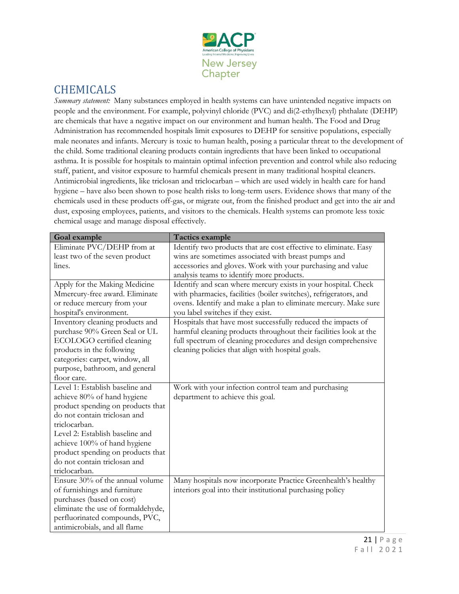

### CHEMICALS

*Summary statement:* Many substances employed in health systems can have unintended negative impacts on people and the environment. For example, polyvinyl chloride (PVC) and di(2-ethylhexyl) phthalate (DEHP) are chemicals that have a negative impact on our environment and human health. The Food and Drug Administration has recommended hospitals limit exposures to DEHP for sensitive populations, especially male neonates and infants. Mercury is toxic to human health, posing a particular threat to the development of the child. Some traditional cleaning products contain ingredients that have been linked to occupational asthma. It is possible for hospitals to maintain optimal infection prevention and control while also reducing staff, patient, and visitor exposure to harmful chemicals present in many traditional hospital cleaners. Antimicrobial ingredients, like triclosan and triclocarban – which are used widely in health care for hand hygiene – have also been shown to pose health risks to long-term users. Evidence shows that many of the chemicals used in these products off-gas, or migrate out, from the finished product and get into the air and dust, exposing employees, patients, and visitors to the chemicals. Health systems can promote less toxic chemical usage and manage disposal effectively.

| Goal example                       | Tactics example                                                   |
|------------------------------------|-------------------------------------------------------------------|
| Eliminate PVC/DEHP from at         | Identify two products that are cost effective to eliminate. Easy  |
| least two of the seven product     | wins are sometimes associated with breast pumps and               |
| lines.                             | accessories and gloves. Work with your purchasing and value       |
|                                    | analysis teams to identify more products.                         |
| Apply for the Making Medicine      | Identify and scan where mercury exists in your hospital. Check    |
| Mmercury-free award. Eliminate     | with pharmacies, facilities (boiler switches), refrigerators, and |
| or reduce mercury from your        | ovens. Identify and make a plan to eliminate mercury. Make sure   |
| hospital's environment.            | you label switches if they exist.                                 |
| Inventory cleaning products and    | Hospitals that have most successfully reduced the impacts of      |
| purchase 90% Green Seal or UL      | harmful cleaning products throughout their facilities look at the |
| ECOLOGO certified cleaning         | full spectrum of cleaning procedures and design comprehensive     |
| products in the following          | cleaning policies that align with hospital goals.                 |
| categories: carpet, window, all    |                                                                   |
| purpose, bathroom, and general     |                                                                   |
| floor care.                        |                                                                   |
| Level 1: Establish baseline and    | Work with your infection control team and purchasing              |
| achieve 80% of hand hygiene        | department to achieve this goal.                                  |
| product spending on products that  |                                                                   |
| do not contain triclosan and       |                                                                   |
| triclocarban.                      |                                                                   |
| Level 2: Establish baseline and    |                                                                   |
| achieve 100% of hand hygiene       |                                                                   |
| product spending on products that  |                                                                   |
| do not contain triclosan and       |                                                                   |
| triclocarban.                      |                                                                   |
| Ensure 30% of the annual volume    | Many hospitals now incorporate Practice Greenhealth's healthy     |
| of furnishings and furniture       | interiors goal into their institutional purchasing policy         |
| purchases (based on cost)          |                                                                   |
| eliminate the use of formaldehyde, |                                                                   |
| perfluorinated compounds, PVC,     |                                                                   |
| antimicrobials, and all flame      |                                                                   |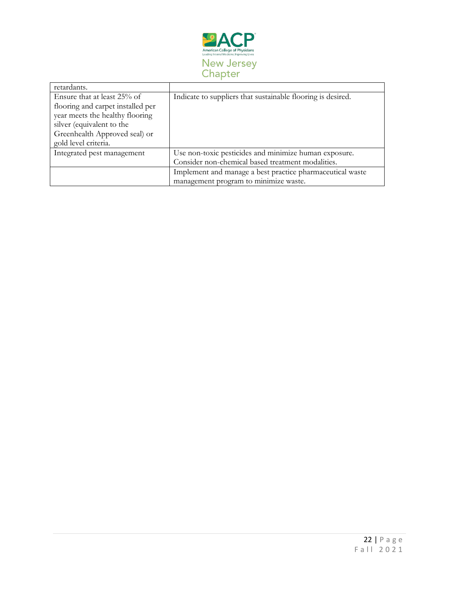

<span id="page-21-0"></span>

| retardants.                       |                                                             |
|-----------------------------------|-------------------------------------------------------------|
| Ensure that at least 25% of       | Indicate to suppliers that sustainable flooring is desired. |
| flooring and carpet installed per |                                                             |
| year meets the healthy flooring   |                                                             |
| silver (equivalent to the         |                                                             |
| Greenhealth Approved seal) or     |                                                             |
| gold level criteria.              |                                                             |
| Integrated pest management        | Use non-toxic pesticides and minimize human exposure.       |
|                                   | Consider non-chemical based treatment modalities.           |
|                                   | Implement and manage a best practice pharmaceutical waste   |
|                                   | management program to minimize waste.                       |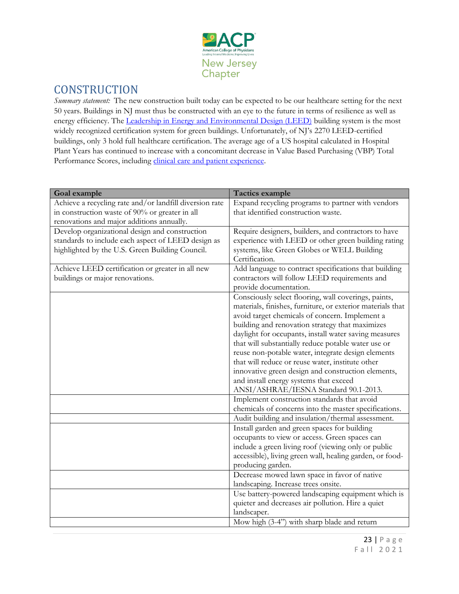

### **CONSTRUCTION**

*Summary statement:* The new construction built today can be expected to be our healthcare setting for the next 50 years. Buildings in NJ must thus be constructed with an eye to the future in terms of resilience as well as energy efficiency. The [Leadership in Energy and Environmental Design \(LEED\)](https://www.usgbc.org/projects?Country=%5B%22United+States%22%5D) building system is the most widely recognized certification system for green buildings. Unfortunately, of NJ's 2270 LEED-certified buildings, only 3 hold full healthcare certification. The average age of a US hospital calculated in Hospital Plant Years has continued to increase with a concomitant decrease in Value Based Purchasing (VBP) Total Performance Scores, including clinical care and patient experience.

| Goal example                                                                                                                                            | <b>Tactics example</b>                                                                                                                                                                                                                                                                                                                                                                                                                                                                                                                                                                     |
|---------------------------------------------------------------------------------------------------------------------------------------------------------|--------------------------------------------------------------------------------------------------------------------------------------------------------------------------------------------------------------------------------------------------------------------------------------------------------------------------------------------------------------------------------------------------------------------------------------------------------------------------------------------------------------------------------------------------------------------------------------------|
| Achieve a recycling rate and/or landfill diversion rate<br>in construction waste of 90% or greater in all<br>renovations and major additions annually.  | Expand recycling programs to partner with vendors<br>that identified construction waste.                                                                                                                                                                                                                                                                                                                                                                                                                                                                                                   |
| Develop organizational design and construction<br>standards to include each aspect of LEED design as<br>highlighted by the U.S. Green Building Council. | Require designers, builders, and contractors to have<br>experience with LEED or other green building rating<br>systems, like Green Globes or WELL Building<br>Certification.                                                                                                                                                                                                                                                                                                                                                                                                               |
| Achieve LEED certification or greater in all new<br>buildings or major renovations.                                                                     | Add language to contract specifications that building<br>contractors will follow LEED requirements and<br>provide documentation.                                                                                                                                                                                                                                                                                                                                                                                                                                                           |
|                                                                                                                                                         | Consciously select flooring, wall coverings, paints,<br>materials, finishes, furniture, or exterior materials that<br>avoid target chemicals of concern. Implement a<br>building and renovation strategy that maximizes<br>daylight for occupants, install water saving measures<br>that will substantially reduce potable water use or<br>reuse non-potable water, integrate design elements<br>that will reduce or reuse water, institute other<br>innovative green design and construction elements,<br>and install energy systems that exceed<br>ANSI/ASHRAE/IESNA Standard 90.1-2013. |
|                                                                                                                                                         | Implement construction standards that avoid<br>chemicals of concerns into the master specifications.                                                                                                                                                                                                                                                                                                                                                                                                                                                                                       |
|                                                                                                                                                         | Audit building and insulation/thermal assessment.                                                                                                                                                                                                                                                                                                                                                                                                                                                                                                                                          |
|                                                                                                                                                         | Install garden and green spaces for building<br>occupants to view or access. Green spaces can<br>include a green living roof (viewing only or public<br>accessible), living green wall, healing garden, or food-<br>producing garden.                                                                                                                                                                                                                                                                                                                                                      |
|                                                                                                                                                         | Decrease mowed lawn space in favor of native<br>landscaping. Increase trees onsite.                                                                                                                                                                                                                                                                                                                                                                                                                                                                                                        |
|                                                                                                                                                         | Use battery-powered landscaping equipment which is<br>quieter and decreases air pollution. Hire a quiet<br>landscaper.                                                                                                                                                                                                                                                                                                                                                                                                                                                                     |
|                                                                                                                                                         | Mow high (3-4") with sharp blade and return                                                                                                                                                                                                                                                                                                                                                                                                                                                                                                                                                |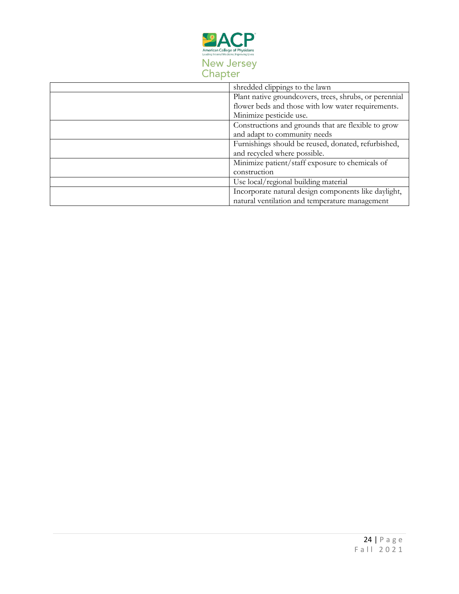

<span id="page-23-0"></span>

| shredded clippings to the lawn                         |
|--------------------------------------------------------|
| Plant native groundcovers, trees, shrubs, or perennial |
| flower beds and those with low water requirements.     |
| Minimize pesticide use.                                |
| Constructions and grounds that are flexible to grow    |
| and adapt to community needs                           |
| Furnishings should be reused, donated, refurbished,    |
| and recycled where possible.                           |
| Minimize patient/staff exposure to chemicals of        |
| construction                                           |
| Use local/regional building material                   |
| Incorporate natural design components like daylight,   |
| natural ventilation and temperature management         |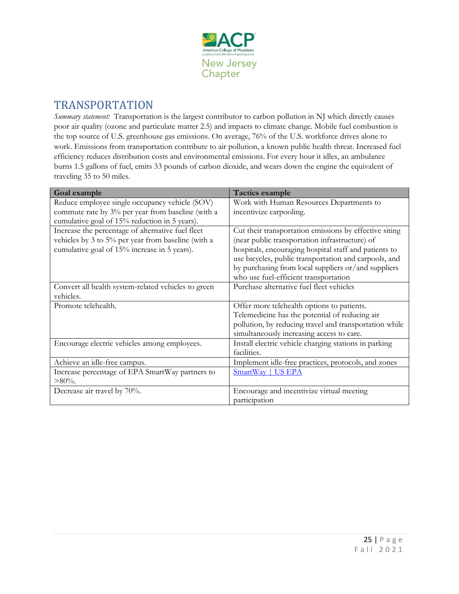

### TRANSPORTATION

*Summary statement:* Transportation is the largest contributor to carbon pollution in NJ which directly causes poor air quality (ozone and particulate matter 2.5) and impacts to climate change. Mobile fuel combustion is the top source of U.S. greenhouse gas emissions. On average, 76% of the U.S. workforce drives alone to work. Emissions from transportation contribute to air pollution, a known public health threat. Increased fuel efficiency reduces distribution costs and environmental emissions. For every hour it idles, an ambulance burns 1.5 gallons of fuel, emits 33 pounds of carbon dioxide, and wears down the engine the equivalent of traveling 35 to 50 miles.

| Goal example                                        | <b>Tactics example</b>                                 |
|-----------------------------------------------------|--------------------------------------------------------|
| Reduce employee single occupancy vehicle (SOV)      | Work with Human Resources Departments to               |
| commute rate by 3% per year from baseline (with a   | incentivize carpooling.                                |
| cumulative goal of 15% reduction in 5 years).       |                                                        |
| Increase the percentage of alternative fuel fleet   | Cut their transportation emissions by effective siting |
| vehicles by 3 to 5% per year from baseline (with a  | (near public transportation infrastructure) of         |
| cumulative goal of 15% increase in 5 years).        | hospitals, encouraging hospital staff and patients to  |
|                                                     | use bicycles, public transportation and carpools, and  |
|                                                     | by purchasing from local suppliers or/and suppliers    |
|                                                     | who use fuel-efficient transportation                  |
| Convert all health system-related vehicles to green | Purchase alternative fuel fleet vehicles               |
| vehicles.                                           |                                                        |
| Promote telehealth.                                 | Offer more telehealth options to patients.             |
|                                                     | Telemedicine has the potential of reducing air         |
|                                                     | pollution, by reducing travel and transportation while |
|                                                     | simultaneously increasing access to care.              |
| Encourage electric vehicles among employees.        | Install electric vehicle charging stations in parking  |
|                                                     | facilities.                                            |
| Achieve an idle-free campus.                        | Implement idle-free practices, protocols, and zones    |
| Increase percentage of EPA SmartWay partners to     | SmartWay   US EPA                                      |
| $>80\%$ .                                           |                                                        |
| Decrease air travel by 70%.                         | Encourage and incentivize virtual meeting              |
|                                                     | participation                                          |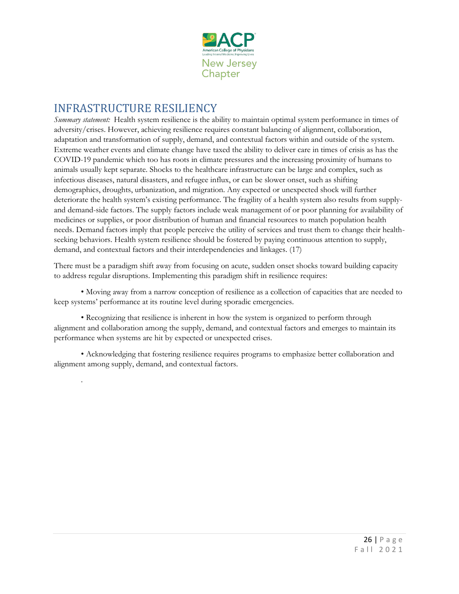

### <span id="page-25-0"></span>INFRASTRUCTURE RESILIENCY

.

*Summary statement:* Health system resilience is the ability to maintain optimal system performance in times of adversity/crises. However, achieving resilience requires constant balancing of alignment, collaboration, adaptation and transformation of supply, demand, and contextual factors within and outside of the system. Extreme weather events and climate change have taxed the ability to deliver care in times of crisis as has the COVID-19 pandemic which too has roots in climate pressures and the increasing proximity of humans to animals usually kept separate. Shocks to the healthcare infrastructure can be large and complex, such as infectious diseases, natural disasters, and refugee influx, or can be slower onset, such as shifting demographics, droughts, urbanization, and migration. Any expected or unexpected shock will further deteriorate the health system's existing performance. The fragility of a health system also results from supplyand demand-side factors. The supply factors include weak management of or poor planning for availability of medicines or supplies, or poor distribution of human and financial resources to match population health needs. Demand factors imply that people perceive the utility of services and trust them to change their healthseeking behaviors. Health system resilience should be fostered by paying continuous attention to supply, demand, and contextual factors and their interdependencies and linkages. (17)

There must be a paradigm shift away from focusing on acute, sudden onset shocks toward building capacity to address regular disruptions. Implementing this paradigm shift in resilience requires:

• Moving away from a narrow conception of resilience as a collection of capacities that are needed to keep systems' performance at its routine level during sporadic emergencies.

• Recognizing that resilience is inherent in how the system is organized to perform through alignment and collaboration among the supply, demand, and contextual factors and emerges to maintain its performance when systems are hit by expected or unexpected crises.

• Acknowledging that fostering resilience requires programs to emphasize better collaboration and alignment among supply, demand, and contextual factors.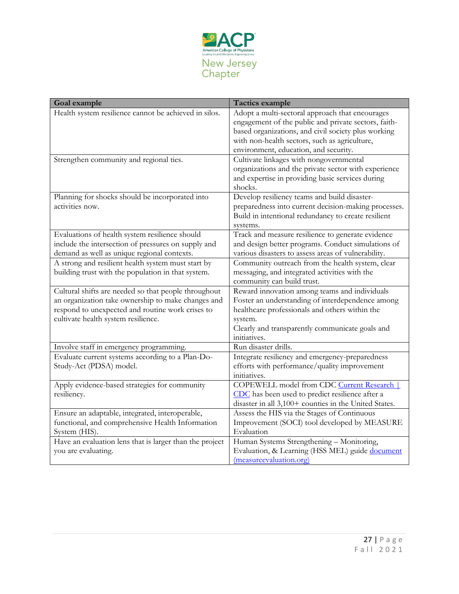

| Goal example                                            | Tactics example                                       |
|---------------------------------------------------------|-------------------------------------------------------|
| Health system resilience cannot be achieved in silos.   | Adopt a multi-sectoral approach that encourages       |
|                                                         | engagement of the public and private sectors, faith-  |
|                                                         | based organizations, and civil society plus working   |
|                                                         | with non-health sectors, such as agriculture,         |
|                                                         | environment, education, and security.                 |
| Strengthen community and regional ties.                 | Cultivate linkages with nongovernmental               |
|                                                         | organizations and the private sector with experience  |
|                                                         | and expertise in providing basic services during      |
|                                                         | shocks.                                               |
| Planning for shocks should be incorporated into         | Develop resiliency teams and build disaster-          |
| activities now.                                         | preparedness into current decision-making processes.  |
|                                                         | Build in intentional redundancy to create resilient   |
|                                                         | systems.                                              |
| Evaluations of health system resilience should          | Track and measure resilience to generate evidence     |
| include the intersection of pressures on supply and     | and design better programs. Conduct simulations of    |
| demand as well as unique regional contexts.             | various disasters to assess areas of vulnerability.   |
| A strong and resilient health system must start by      | Community outreach from the health system, clear      |
| building trust with the population in that system.      | messaging, and integrated activities with the         |
|                                                         | community can build trust.                            |
| Cultural shifts are needed so that people throughout    | Reward innovation among teams and individuals         |
| an organization take ownership to make changes and      | Foster an understanding of interdependence among      |
| respond to unexpected and routine work crises to        | healthcare professionals and others within the        |
| cultivate health system resilience.                     | system.                                               |
|                                                         | Clearly and transparently communicate goals and       |
|                                                         | initiatives.                                          |
| Involve staff in emergency programming.                 | Run disaster drills.                                  |
| Evaluate current systems according to a Plan-Do-        | Integrate resiliency and emergency-preparedness       |
| Study-Act (PDSA) model.                                 | efforts with performance/quality improvement          |
|                                                         | initiatives.                                          |
| Apply evidence-based strategies for community           | COPEWELL model from CDC Current Research              |
| resiliency.                                             | CDC has been used to predict resilience after a       |
|                                                         | disaster in all 3,100+ counties in the United States. |
| Ensure an adaptable, integrated, interoperable,         | Assess the HIS via the Stages of Continuous           |
| functional, and comprehensive Health Information        | Improvement (SOCI) tool developed by MEASURE          |
| System (HIS).                                           | Evaluation                                            |
| Have an evaluation lens that is larger than the project | Human Systems Strengthening - Monitoring,             |
| you are evaluating.                                     | Evaluation, & Learning (HSS MEL) guide document       |
|                                                         | (measureevaluation.org)                               |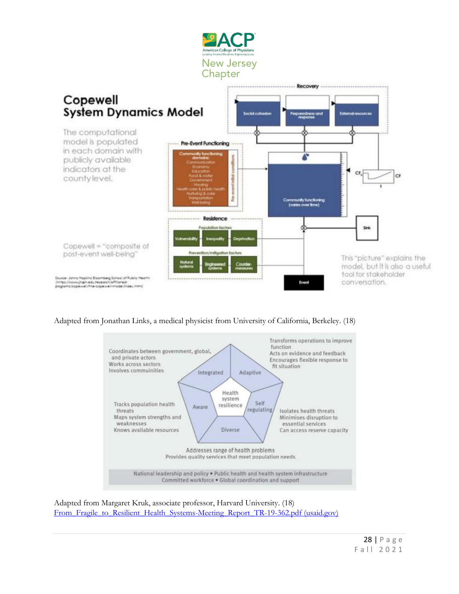



Adapted from Jonathan Links, a medical physicist from University of California, Berkeley. (18)



Adapted from Margaret Kruk, associate professor, Harvard University. (18) From Fragile to Resilient Health Systems-Meeting Report TR-19-362.pdf (usaid.gov)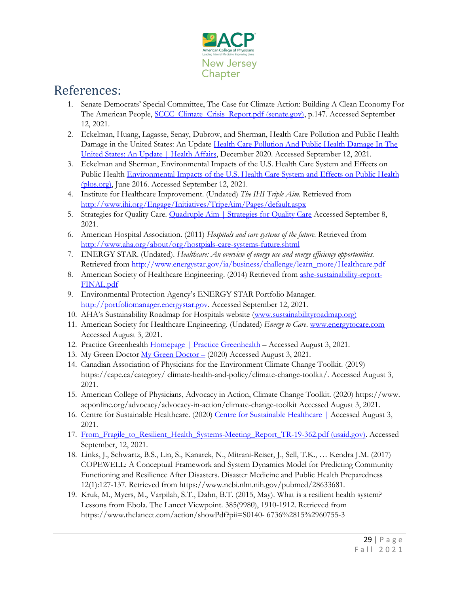

## <span id="page-28-0"></span>References:

- 1. Senate Democrats' Special Committee, The Case for Climate Action: Building A Clean Economy For The American People, [SCCC\\_Climate\\_Crisis\\_Report.pdf \(senate.gov\),](https://www.schatz.senate.gov/imo/media/doc/SCCC_Climate_Crisis_Report.pdf) p.147. Accessed September 12, 2021.
- 2. Eckelman, Huang, Lagasse, Senay, Dubrow, and Sherman, Health Care Pollution and Public Health Damage in the United States: An Update [Health Care Pollution And Public Health Damage In The](https://www.healthaffairs.org/doi/full/10.1377/hlthaff.2020.01247)  [United States: An Update | Health Affairs,](https://www.healthaffairs.org/doi/full/10.1377/hlthaff.2020.01247) December 2020. Accessed September 12, 2021.
- 3. Eckelman and Sherman, Environmental Impacts of the U.S. Health Care System and Effects on Public Health Environmental Impacts of the U.S. Health Care System and Effects on Public Health [\(plos.org\),](https://journals.plos.org/plosone/article?id=10.1371/journal.pone.0157014) June 2016. Accessed September 12, 2021.
- 4. Institute for Healthcare Improvement. (Undated) *The IHI Triple Aim.* Retrieved from <http://www.ihi.org/Engage/Initiatives/TripeAim/Pages/default.aspx>
- 5. Strategies for Quality Care. [Quadruple Aim | Strategies for Quality Care](https://www.strategiesforqualitycare.com/quadruple-aim/overview) Accessed September 8, 2021.
- 6. American Hospital Association. (2011) *Hospitals and care systems of the future.* Retrieved from <http://www.aha.org/about/org/hostpials-care-systems-future.shtml>
- 7. ENERGY STAR. (Undated). *Healthcare: An overview of energy use and energy efficiency opportunities.*  Retrieved from [http://www.energystar.gov/ia/business/challenge/learn\\_more/Healthcare.pdf](http://www.energystar.gov/ia/business/challenge/learn_more/Healthcare.pdf)
- 8. American Society of Healthcare Engineering. (2014) Retrieved from [ashe-sustainability-report-](file:///C:/Users/cerceo-elizabeth/AppData/Local/Microsoft/Windows/INetCache/Content.Outlook/JU6Q7XD9/ashe-sustainability-report-FINAL.pdf)[FINAL.pdf](file:///C:/Users/cerceo-elizabeth/AppData/Local/Microsoft/Windows/INetCache/Content.Outlook/JU6Q7XD9/ashe-sustainability-report-FINAL.pdf)
- 9. Environmental Protection Agency's ENERGY STAR Portfolio Manager. [http://portfoliomanager.energystar.gov.](http://portfoliomanager.energystar.gov/) Accessed September 12, 2021.
- 10. AHA's Sustainability Roadmap for Hospitals website ([www.sustainabilityroadmap.org\)](http://www.sustainabilityroadmap.org/)
- 11. American Society for Healthcare Engineering. (Undated) *Energy to Care*. [www.energytocare.com](http://www.energytocare.com/) Accessed August 3, 2021.
- 12. Practice Greenhealth [Homepage | Practice Greenhealth](https://practicegreenhealth.org/) Accessed August 3, 2021.
- 13. [My Green Doctor](https://mygreendoctor.org/) My Green Doctor (2020) Accessed August 3, 2021.
- 14. Canadian Association of Physicians for the Environment Climate Change Toolkit. (2019) https://cape.ca/category/ climate-health-and-policy/climate-change-toolkit/. Accessed August 3, 2021.
- 15. American College of Physicians, Advocacy in Action, Climate Change Toolkit. (2020) https://www. acponline.org/advocacy/advocacy-in-action/climate-change-toolkit Accessed August 3, 2021.
- 16. Centre for Sustainable Healthcare. (2020) [Centre for Sustainable Healthcare |](https://sustainablehealthcare.org.uk/) Accessed August 3, 2021.
- 17. From Fragile to Resilient Health Systems-Meeting Report TR-19-362.pdf (usaid.gov). Accessed September, 12, 2021.
- 18. Links, J., Schwartz, B.S., Lin, S., Kanarek, N., Mitrani-Reiser, J., Sell, T.K., … Kendra J.M. (2017) COPEWELL: A Conceptual Framework and System Dynamics Model for Predicting Community Functioning and Resilience After Disasters. Disaster Medicine and Public Health Preparedness 12(1):127-137. Retrieved from https://www.ncbi.nlm.nih.gov/pubmed/28633681.
- 19. Kruk, M., Myers, M., Varpilah, S.T., Dahn, B.T. (2015, May). What is a resilient health system? Lessons from Ebola. The Lancet Viewpoint. 385(9980), 1910-1912. Retrieved from https://www.thelancet.com/action/showPdf?pii=S0140- 6736%2815%2960755-3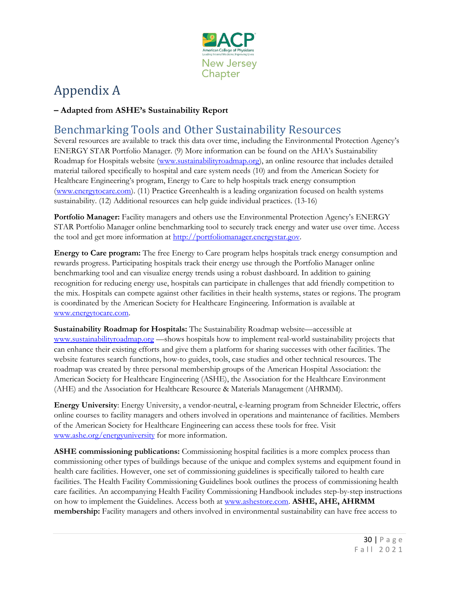

# <span id="page-29-0"></span>Appendix A

**– Adapted from ASHE's Sustainability Report**

## <span id="page-29-1"></span>Benchmarking Tools and Other Sustainability Resources

Several resources are available to track this data over time, including the Environmental Protection Agency's ENERGY STAR Portfolio Manager. (9) More information can be found on the AHA's Sustainability Roadmap for Hospitals website [\(www.sustainabilityroadmap.org\)](http://www.sustainabilityroadmap.org/), an online resource that includes detailed material tailored specifically to hospital and care system needs (10) and from the American Society for Healthcare Engineering's program, Energy to Care to help hospitals track energy consumption [\(www.energytocare.com\)](http://www.energytocare.com/). (11) Practice Greenhealth is a leading organization focused on health systems sustainability. (12) Additional resources can help guide individual practices. (13-16)

**Portfolio Manager:** Facility managers and others use the Environmental Protection Agency's ENERGY STAR Portfolio Manager online benchmarking tool to securely track energy and water use over time. Access the tool and get more information at [http://portfoliomanager.energystar.gov.](http://portfoliomanager.energystar.gov/)

**Energy to Care program:** The free Energy to Care program helps hospitals track energy consumption and rewards progress. Participating hospitals track their energy use through the Portfolio Manager online benchmarking tool and can visualize energy trends using a robust dashboard. In addition to gaining recognition for reducing energy use, hospitals can participate in challenges that add friendly competition to the mix. Hospitals can compete against other facilities in their health systems, states or regions. The program is coordinated by the American Society for Healthcare Engineering. Information is available at [www.energytocare.com.](http://www.energytocare.com/)

**Sustainability Roadmap for Hospitals:** The Sustainability Roadmap website—accessible at [www.sustainabilityroadmap.org](http://www.sustainabilityroadmap.org/) —shows hospitals how to implement real-world sustainability projects that can enhance their existing efforts and give them a platform for sharing successes with other facilities. The website features search functions, how-to guides, tools, case studies and other technical resources. The roadmap was created by three personal membership groups of the American Hospital Association: the American Society for Healthcare Engineering (ASHE), the Association for the Healthcare Environment (AHE) and the Association for Healthcare Resource & Materials Management (AHRMM).

**Energy University**: Energy University, a vendor-neutral, e-learning program from Schneider Electric, offers online courses to facility managers and others involved in operations and maintenance of facilities. Members of the American Society for Healthcare Engineering can access these tools for free. Visit [www.ashe.org/energyuniversity](http://www.ashe.org/energyuniversity) for more information.

**ASHE commissioning publications:** Commissioning hospital facilities is a more complex process than commissioning other types of buildings because of the unique and complex systems and equipment found in health care facilities. However, one set of commissioning guidelines is specifically tailored to health care facilities. The Health Facility Commissioning Guidelines book outlines the process of commissioning health care facilities. An accompanying Health Facility Commissioning Handbook includes step-by-step instructions on how to implement the Guidelines. Access both at [www.ashestore.com.](http://www.ashestore.com/) **ASHE, AHE, AHRMM membership:** Facility managers and others involved in environmental sustainability can have free access to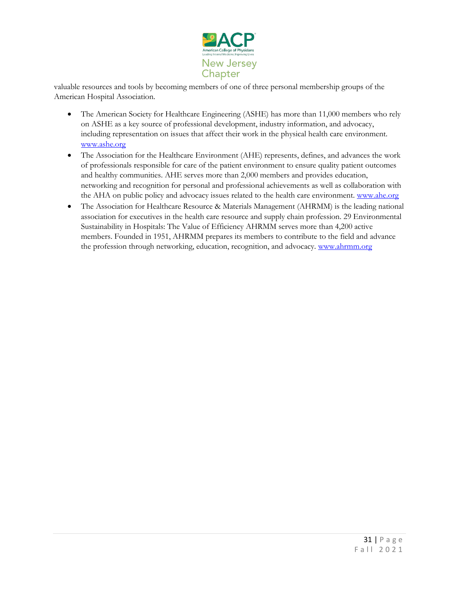

valuable resources and tools by becoming members of one of three personal membership groups of the American Hospital Association.

- The American Society for Healthcare Engineering (ASHE) has more than 11,000 members who rely on ASHE as a key source of professional development, industry information, and advocacy, including representation on issues that affect their work in the physical health care environment. [www.ashe.org](http://www.ashe.org/)
- The Association for the Healthcare Environment (AHE) represents, defines, and advances the work of professionals responsible for care of the patient environment to ensure quality patient outcomes and healthy communities. AHE serves more than 2,000 members and provides education, networking and recognition for personal and professional achievements as well as collaboration with the AHA on public policy and advocacy issues related to the health care environment. www.ahe.org
- The Association for Healthcare Resource & Materials Management (AHRMM) is the leading national association for executives in the health care resource and supply chain profession. 29 Environmental Sustainability in Hospitals: The Value of Efficiency AHRMM serves more than 4,200 active members. Founded in 1951, AHRMM prepares its members to contribute to the field and advance the profession through networking, education, recognition, and advocacy. [www.ahrmm.org](http://www.ahrmm.org/)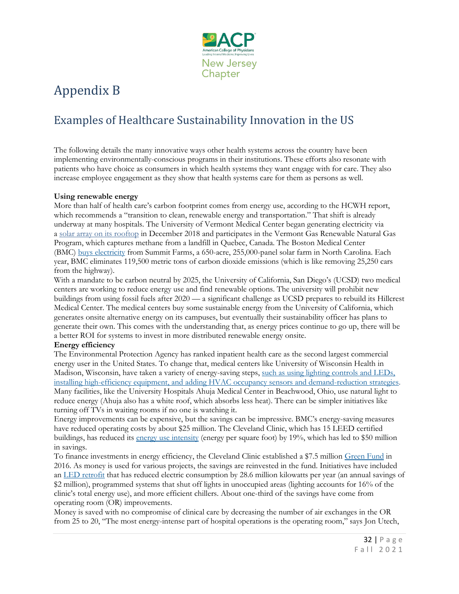

# Appendix B

## Examples of Healthcare Sustainability Innovation in the US

The following details the many innovative ways other health systems across the country have been implementing environmentally-conscious programs in their institutions. These efforts also resonate with patients who have choice as consumers in which health systems they want engage with for care. They also increase employee engagement as they show that health systems care for them as persons as well.

#### **Using renewable energy**

More than half of health care's carbon footprint comes from energy use, according to the HCWH report, which recommends a "transition to clean, renewable energy and transportation." That shift is already underway at many hospitals. The University of Vermont Medical Center began generating electricity via a [solar array on its rooftop](https://encorerenewableenergy.com/encore-renewable-energy-announces-completion-of-uvm-medical-center-solar-rooftop/) in December 2018 and participates in the Vermont Gas Renewable Natural Gas Program, which captures methane from a landfill in Quebec, Canada. The Boston Medical Center (BMC) [buys electricity](https://www.shsmd.org/system/files/2018-06/2018-value-initiative-case-study-boston-medical-center.pdf) from Summit Farms, a 650-acre, 255,000-panel solar farm in North Carolina. Each year, BMC eliminates 119,500 metric tons of carbon dioxide emissions (which is like removing 25,250 cars from the highway).

With a mandate to be carbon neutral by 2025, the University of California, San Diego's (UCSD) two medical centers are working to reduce energy use and find renewable options. The university will prohibit new buildings from using fossil fuels after 2020 — a significant challenge as UCSD prepares to rebuild its Hillcrest Medical Center. The medical centers buy some sustainable energy from the University of California, which generates onsite alternative energy on its campuses, but eventually their sustainability officer has plans to generate their own. This comes with the understanding that, as energy prices continue to go up, there will be a better ROI for systems to invest in more distributed renewable energy onsite.

#### **Energy efficiency**

The Environmental Protection Agency has ranked inpatient health care as the second largest commercial energy user in the United States. To change that, medical centers like University of Wisconsin Health in Madison, Wisconsin, have taken a variety of energy-saving steps, [such as using lighting controls and LEDs,](https://betterbuildingssolutioncenter.energy.gov/beat-blog/uw-health-reaches-exceeds-better-buildings-challenge-goal)  [installing high-efficiency equipment, and adding HVAC occupancy sensors and demand-reduction strategies.](https://betterbuildingssolutioncenter.energy.gov/beat-blog/uw-health-reaches-exceeds-better-buildings-challenge-goal) Many facilities, like the University Hospitals Ahuja Medical Center in Beachwood, Ohio, use natural light to reduce energy (Ahuja also has a white roof, which absorbs less heat). There can be simpler initiatives like turning off TVs in waiting rooms if no one is watching it.

Energy improvements can be expensive, but the savings can be impressive. BMC's energy-saving measures have reduced operating costs by about \$25 million. The Cleveland Clinic, which has 15 LEED certified buildings, has reduced its [energy use intensity](https://www.energystar.gov/buildings/facility-owners-and-managers/existing-buildings/use-portfolio-manager/understand-metrics/what-energy) (energy per square foot) by 19%, which has led to \$50 million in savings.

To finance investments in energy efficiency, the Cleveland Clinic established a \$7.5 million [Green Fund](https://my.clevelandclinic.org/about/community/healthy-environment/sustainability-global-citizenship/environment/energy-conservation#green-fund-tab) in 2016. As money is used for various projects, the savings are reinvested in the fund. Initiatives have included an [LED retrofit](https://betterbuildingssolutioncenter.energy.gov/sites/default/files/attachments/ILC_Cleveland_Clinic_0.pdf) that has reduced electric consumption by 28.6 million kilowatts per year (an annual savings of \$2 million), programmed systems that shut off lights in unoccupied areas (lighting accounts for 16% of the clinic's total energy use), and more efficient chillers. About one-third of the savings have come from operating room (OR) improvements.

Money is saved with no compromise of clinical care by decreasing the number of air exchanges in the OR from 25 to 20, "The most energy-intense part of hospital operations is the operating room," says Jon Utech,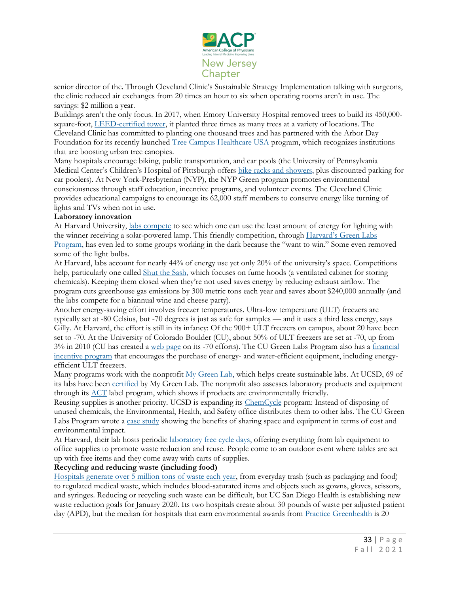

senior director of the. Through Cleveland Clinic's Sustainable Strategy Implementation talking with surgeons, the clinic reduced air exchanges from 20 times an hour to six when operating rooms aren't in use. The savings: \$2 million a year.

Buildings aren't the only focus. In 2017, when Emory University Hospital removed trees to build its 450,000 square-foot, [LEED-certified tower,](https://news.emory.edu/stories/2019/04/euh_tower_leed_silver_certification/index.html) it planted three times as many trees at a variety of locations. The Cleveland Clinic has committed to planting one thousand trees and has partnered with the Arbor Day Foundation for its recently launched [Tree Campus Healthcare USA](https://www.arborday.org/programs/tree-campus-healthcare/) program, which recognizes institutions that are boosting urban tree canopies.

Many hospitals encourage biking, public transportation, and car pools (the University of Pennsylvania Medical Center's Children's Hospital of Pittsburgh offers [bike racks and showers,](http://www.chp.edu/about/campus/environmentally-friendly) plus discounted parking for car poolers). At New York-Presbyterian (NYP), the NYP Green program promotes environmental consciousness through staff education, incentive programs, and volunteer events. The Cleveland Clinic provides educational campaigns to encourage its 62,000 staff members to conserve energy like turning of lights and TVs when not in use.

#### **Laboratory innovation**

At Harvard University, [labs compete](https://green.harvard.edu/news/measuring-behavior-change-through-competition) to see which one can use the least amount of energy for lighting with the winner receiving a solar-powered lamp. This friendly competition, through [Harvard's Green Labs](https://green.harvard.edu/programs/green-labs)  [Program,](https://green.harvard.edu/programs/green-labs) has even led to some groups working in the dark because the "want to win." Some even removed some of the light bulbs.

At Harvard, labs account for nearly 44% of energy use yet only 20% of the university's space. Competitions help, particularly one called [Shut the Sash,](https://green.harvard.edu/programs/green-labs/shut-sash-program) which focuses on fume hoods (a ventilated cabinet for storing chemicals). Keeping them closed when they're not used saves energy by reducing exhaust airflow. The program cuts greenhouse gas emissions by 300 metric tons each year and saves about \$240,000 annually (and the labs compete for a biannual wine and cheese party).

Another energy-saving effort involves freezer temperatures. Ultra-low temperature (ULT) freezers are typically set at -80 Celsius, but -70 degrees is just as safe for samples — and it uses a third less energy, says Gilly. At Harvard, the effort is still in its infancy: Of the 900+ ULT freezers on campus, about 20 have been set to -70. At the University of Colorado Boulder (CU), about 50% of ULT freezers are set at -70, up from 3% in 2010 (CU has created a [web page](https://www.colorado.edu/ecenter/greenlabs/lab-energy-efforts/freezers/70-0c-efforts) on its -70 efforts). The CU Green Labs Program also has a [financial](https://www.colorado.edu/ecenter/greenlabs/incentives)  [incentive program](https://www.colorado.edu/ecenter/greenlabs/incentives) that encourages the purchase of energy- and water-efficient equipment, including energyefficient ULT freezers.

Many programs work with the nonprofit [My Green Lab,](https://www.mygreenlab.org/) which helps create sustainable labs. At UCSD, 69 of its labs have been [certified](https://www.mygreenlab.org/green-lab-certification.html) by My Green Lab. The nonprofit also assesses laboratory products and equipment through its [ACT](https://act.mygreenlab.org/) label program, which shows if products are environmentally friendly.

Reusing supplies is another priority. UCSD is expanding its [ChemCycle](https://blink.ucsd.edu/safety/research-lab/hazardous-waste/chemcycle.html) program: Instead of disposing of unused chemicals, the Environmental, Health, and Safety office distributes them to other labs. The CU Green Labs Program wrote a [case study](https://www.colorado.edu/ecenter/greenlabs/case-study-biochemistry-cell-culture-facility) showing the benefits of sharing space and equipment in terms of cost and environmental impact.

At Harvard, their lab hosts periodic laboratory [free cycle days,](https://green.harvard.edu/events/lab-freecycle-2) offering everything from lab equipment to office supplies to promote waste reduction and reuse. People come to an outdoor event where tables are set up with free items and they come away with carts of supplies.

#### **Recycling and reducing waste (including food)**

[Hospitals generate over 5 million tons of waste each year,](https://practicegreenhealth.org/topics/waste/waste-0) from everyday trash (such as packaging and food) to regulated medical waste, which includes blood-saturated items and objects such as gowns, gloves, scissors, and syringes. Reducing or recycling such waste can be difficult, but UC San Diego Health is establishing new waste reduction goals for January 2020. Its two hospitals create about 30 pounds of waste per adjusted patient day (APD), but the median for hospitals that earn environmental awards from [Practice Greenhealth](https://practicegreenhealth.org/) is 20